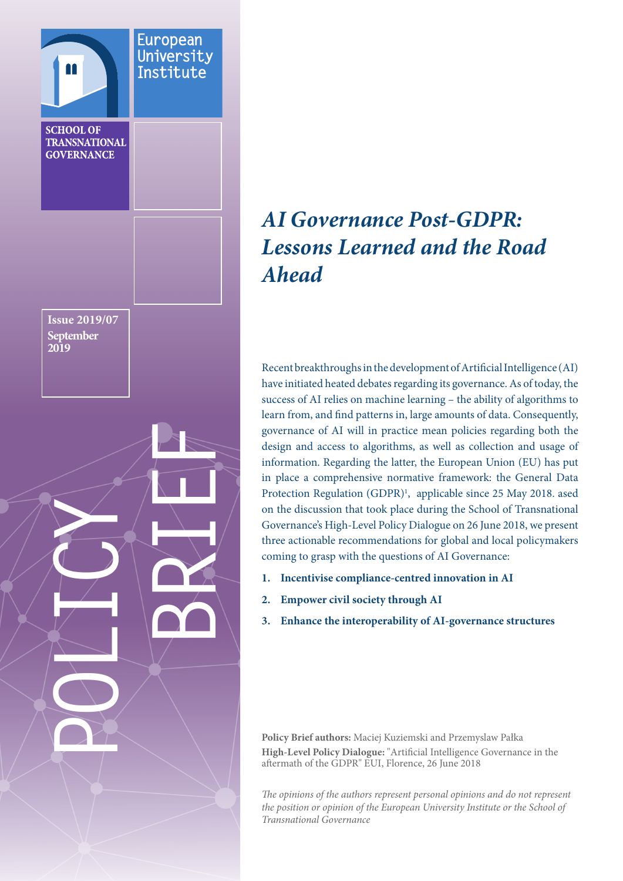<span id="page-0-0"></span>

# *AI Governance Post-GDPR: Lessons Learned and the Road Ahead*

Recent breakthroughs in the development of Artificial Intelligence (AI) have initiated heated debates regarding its governance. As of today, the success of AI relies on machine learning – the ability of algorithms to learn from, and find patterns in, large amounts of data. Consequently, governance of AI will in practice mean policies regarding both the design and access to algorithms, as well as collection and usage of information. Regarding the latter, the European Union (EU) has put in place a comprehensive normative framework: the General Data Protection Regulation (GDPR)<sup>[1](#page-5-0)</sup>, applicable since 25 May 2018. ased on the discussion that took place during the School of Transnational Governance's High-Level Policy Dialogue on 26 June 2018, we present three actionable recommendations for global and local policymakers coming to grasp with the questions of AI Governance:

- **1. Incentivise compliance-centred innovation in AI**
- **2. Empower civil society through AI**
- **3. Enhance the interoperability of AI-governance structures**

**Policy Brief authors:** Maciej Kuziemski and Przemyslaw Pałka **High-Level Policy Dialogue:** "Artificial Intelligence Governance in the aftermath of the GDPR" EUI, Florence, 26 June 2018

*The opinions of the authors represent personal opinions and do not represent the position or opinion of the European University Institute or the School of Transnational Governance*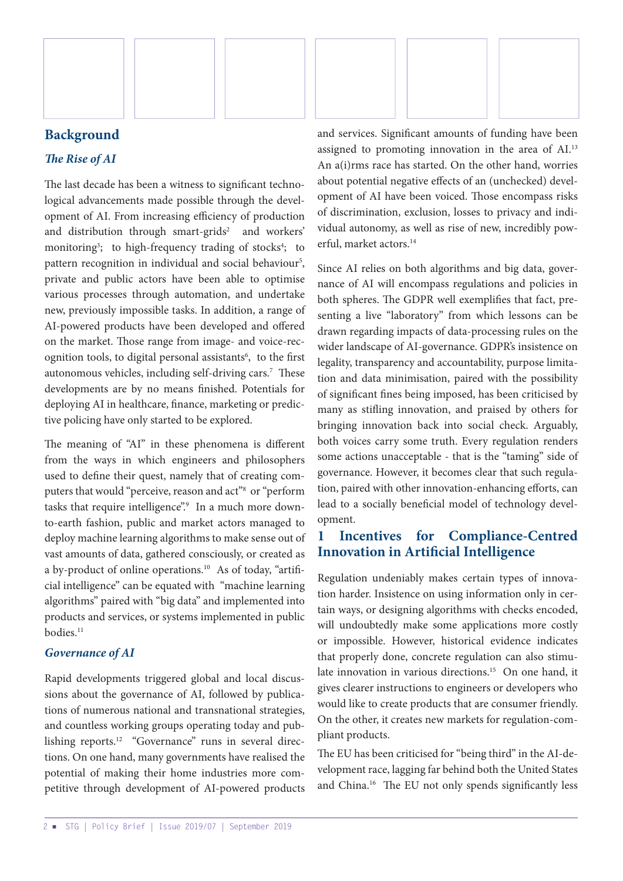<span id="page-1-0"></span>

## **Background**

#### *The Rise of AI*

The last decade has been a witness to significant technological advancements made possible through the development of AI. From increasing efficiency of production and distribution through smart-grids<sup>2</sup> and workers' monitoring<sup>[3](#page-5-0)</sup>; to high-frequency trading of stocks<sup>4</sup>; to pattern recognition in individual and social behaviour<sup>[5](#page-5-0)</sup>, private and public actors have been able to optimise various processes through automation, and undertake new, previously impossible tasks. In addition, a range of AI-powered products have been developed and offered on the market. Those range from image- and voice-recognition tools, to digital personal assistants<sup>6</sup>, to the first autonomous vehicles, including self-driving cars.[7](#page-5-0) These developments are by no means finished. Potentials for deploying AI in healthcare, finance, marketing or predictive policing have only started to be explored.

The meaning of "AI" in these phenomena is different from the ways in which engineers and philosophers used to define their quest, namely that of creating computers that would "perceive, reason and act"<sup>8</sup> or "perform tasks that require intelligence".<sup>[9](#page-5-0)</sup> In a much more downto-earth fashion, public and market actors managed to deploy machine learning algorithms to make sense out of vast amounts of data, gathered consciously, or created as a by-product of online operations.<sup>10</sup> As of today, "artificial intelligence" can be equated with "machine learning algorithms" paired with "big data" and implemented into products and services, or systems implemented in public bodies.[11](#page-5-0)

#### *Governance of AI*

Rapid developments triggered global and local discussions about the governance of AI, followed by publications of numerous national and transnational strategies, and countless working groups operating today and pub-lishing reports.<sup>[12](#page-5-0)</sup> "Governance" runs in several directions. On one hand, many governments have realised the potential of making their home industries more competitive through development of AI-powered products and services. Significant amounts of funding have been assigned to promoting innovation in the area of AI[.13](#page-5-0) An a(i)rms race has started. On the other hand, worries about potential negative effects of an (unchecked) development of AI have been voiced. Those encompass risks of discrimination, exclusion, losses to privacy and individual autonomy, as well as rise of new, incredibly powerful, market actors.[14](#page-5-0)

Since AI relies on both algorithms and big data, governance of AI will encompass regulations and policies in both spheres. The GDPR well exemplifies that fact, presenting a live "laboratory" from which lessons can be drawn regarding impacts of data-processing rules on the wider landscape of AI-governance. GDPR's insistence on legality, transparency and accountability, purpose limitation and data minimisation, paired with the possibility of significant fines being imposed, has been criticised by many as stifling innovation, and praised by others for bringing innovation back into social check. Arguably, both voices carry some truth. Every regulation renders some actions unacceptable - that is the "taming" side of governance. However, it becomes clear that such regulation, paired with other innovation-enhancing efforts, can lead to a socially beneficial model of technology development.

## **1 Incentives for Compliance-Centred Innovation in Artificial Intelligence**

Regulation undeniably makes certain types of innovation harder. Insistence on using information only in certain ways, or designing algorithms with checks encoded, will undoubtedly make some applications more costly or impossible. However, historical evidence indicates that properly done, concrete regulation can also stimu-late innovation in various directions.<sup>[15](#page-6-0)</sup> On one hand, it gives clearer instructions to engineers or developers who would like to create products that are consumer friendly. On the other, it creates new markets for regulation-compliant products.

The EU has been criticised for "being third" in the AI-development race, lagging far behind both the United States and China[.16](#page-6-0) The EU not only spends significantly less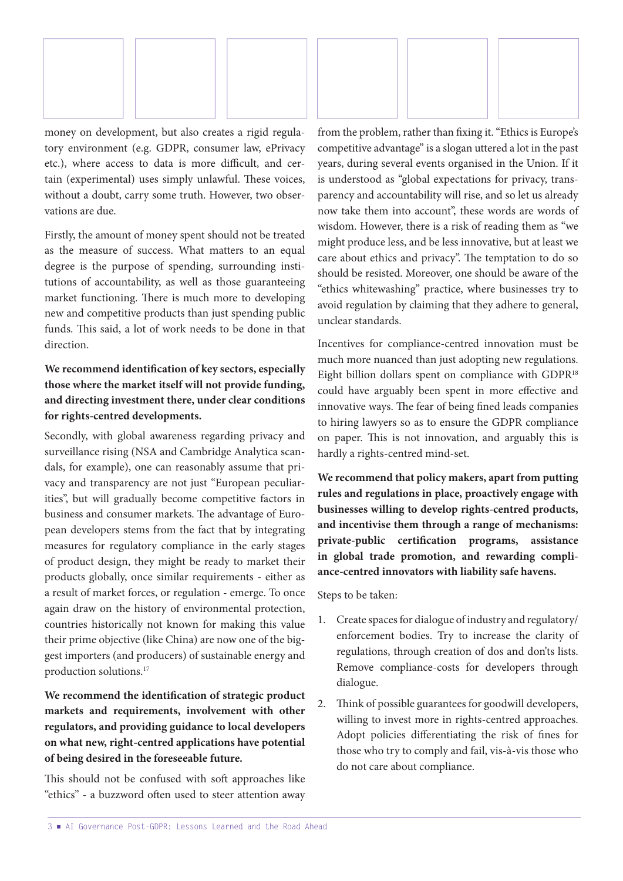<span id="page-2-0"></span>

money on development, but also creates a rigid regulatory environment (e.g. GDPR, consumer law, ePrivacy etc.), where access to data is more difficult, and certain (experimental) uses simply unlawful. These voices, without a doubt, carry some truth. However, two observations are due.

Firstly, the amount of money spent should not be treated as the measure of success. What matters to an equal degree is the purpose of spending, surrounding institutions of accountability, as well as those guaranteeing market functioning. There is much more to developing new and competitive products than just spending public funds. This said, a lot of work needs to be done in that direction.

## **We recommend identification of key sectors, especially those where the market itself will not provide funding, and directing investment there, under clear conditions for rights-centred developments.**

Secondly, with global awareness regarding privacy and surveillance rising (NSA and Cambridge Analytica scandals, for example), one can reasonably assume that privacy and transparency are not just "European peculiarities", but will gradually become competitive factors in business and consumer markets. The advantage of European developers stems from the fact that by integrating measures for regulatory compliance in the early stages of product design, they might be ready to market their products globally, once similar requirements - either as a result of market forces, or regulation - emerge. To once again draw on the history of environmental protection, countries historically not known for making this value their prime objective (like China) are now one of the biggest importers (and producers) of sustainable energy and production solutions.[17](#page-6-0)

**We recommend the identification of strategic product markets and requirements, involvement with other regulators, and providing guidance to local developers on what new, right-centred applications have potential of being desired in the foreseeable future.**

This should not be confused with soft approaches like "ethics" - a buzzword often used to steer attention away from the problem, rather than fixing it. "Ethics is Europe's competitive advantage" is a slogan uttered a lot in the past years, during several events organised in the Union. If it is understood as "global expectations for privacy, transparency and accountability will rise, and so let us already now take them into account", these words are words of wisdom. However, there is a risk of reading them as "we might produce less, and be less innovative, but at least we care about ethics and privacy". The temptation to do so should be resisted. Moreover, one should be aware of the "ethics whitewashing" practice, where businesses try to avoid regulation by claiming that they adhere to general, unclear standards.

Incentives for compliance-centred innovation must be much more nuanced than just adopting new regulations. Eight billion dollars spent on compliance with GDPR<sup>[18](#page-6-0)</sup> could have arguably been spent in more effective and innovative ways. The fear of being fined leads companies to hiring lawyers so as to ensure the GDPR compliance on paper. This is not innovation, and arguably this is hardly a rights-centred mind-set.

**We recommend that policy makers, apart from putting rules and regulations in place, proactively engage with businesses willing to develop rights-centred products, and incentivise them through a range of mechanisms: private-public certification programs, assistance in global trade promotion, and rewarding compliance-centred innovators with liability safe havens.**

Steps to be taken:

- 1. Create spaces for dialogue of industry and regulatory/ enforcement bodies. Try to increase the clarity of regulations, through creation of dos and don'ts lists. Remove compliance-costs for developers through dialogue.
- 2. Think of possible guarantees for goodwill developers, willing to invest more in rights-centred approaches. Adopt policies differentiating the risk of fines for those who try to comply and fail, vis-à-vis those who do not care about compliance.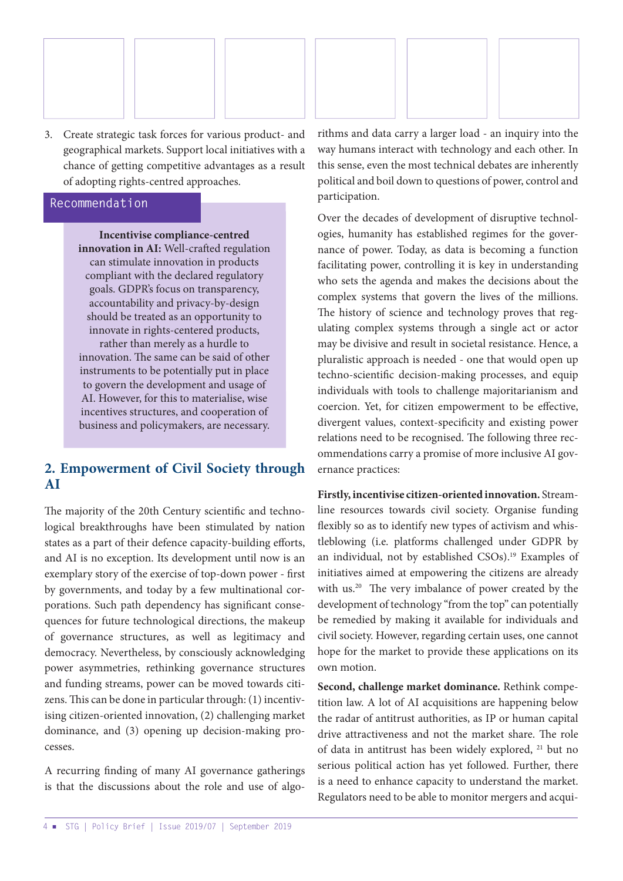<span id="page-3-0"></span>

3. Create strategic task forces for various product- and geographical markets. Support local initiatives with a chance of getting competitive advantages as a result of adopting rights-centred approaches.

#### **Recommendation**

**Incentivise compliance-centred innovation in AI:** Well-crafted regulation can stimulate innovation in products compliant with the declared regulatory goals. GDPR's focus on transparency, accountability and privacy-by-design should be treated as an opportunity to innovate in rights-centered products, rather than merely as a hurdle to innovation. The same can be said of other instruments to be potentially put in place to govern the development and usage of AI. However, for this to materialise, wise incentives structures, and cooperation of business and policymakers, are necessary.

## **2. Empowerment of Civil Society through AI**

The majority of the 20th Century scientific and technological breakthroughs have been stimulated by nation states as a part of their defence capacity-building efforts, and AI is no exception. Its development until now is an exemplary story of the exercise of top-down power - first by governments, and today by a few multinational corporations. Such path dependency has significant consequences for future technological directions, the makeup of governance structures, as well as legitimacy and democracy. Nevertheless, by consciously acknowledging power asymmetries, rethinking governance structures and funding streams, power can be moved towards citizens. This can be done in particular through: (1) incentivising citizen-oriented innovation, (2) challenging market dominance, and (3) opening up decision-making processes.

A recurring finding of many AI governance gatherings is that the discussions about the role and use of algorithms and data carry a larger load - an inquiry into the way humans interact with technology and each other. In this sense, even the most technical debates are inherently political and boil down to questions of power, control and participation.

Over the decades of development of disruptive technologies, humanity has established regimes for the governance of power. Today, as data is becoming a function facilitating power, controlling it is key in understanding who sets the agenda and makes the decisions about the complex systems that govern the lives of the millions. The history of science and technology proves that regulating complex systems through a single act or actor may be divisive and result in societal resistance. Hence, a pluralistic approach is needed - one that would open up techno-scientific decision-making processes, and equip individuals with tools to challenge majoritarianism and coercion. Yet, for citizen empowerment to be effective, divergent values, context-specificity and existing power relations need to be recognised. The following three recommendations carry a promise of more inclusive AI governance practices:

**Firstly, incentivise citizen-oriented innovation.** Streamline resources towards civil society. Organise funding flexibly so as to identify new types of activism and whistleblowing (i.e. platforms challenged under GDPR by an individual, not by established CSOs).<sup>19</sup> Examples of initiatives aimed at empowering the citizens are already with us.<sup>20</sup> The very imbalance of power created by the development of technology "from the top" can potentially be remedied by making it available for individuals and civil society. However, regarding certain uses, one cannot hope for the market to provide these applications on its own motion.

**Second, challenge market dominance.** Rethink competition law. A lot of AI acquisitions are happening below the radar of antitrust authorities, as IP or human capital drive attractiveness and not the market share. The role of data in antitrust has been widely explored, [21](#page-6-0) but no serious political action has yet followed. Further, there is a need to enhance capacity to understand the market. Regulators need to be able to monitor mergers and acqui-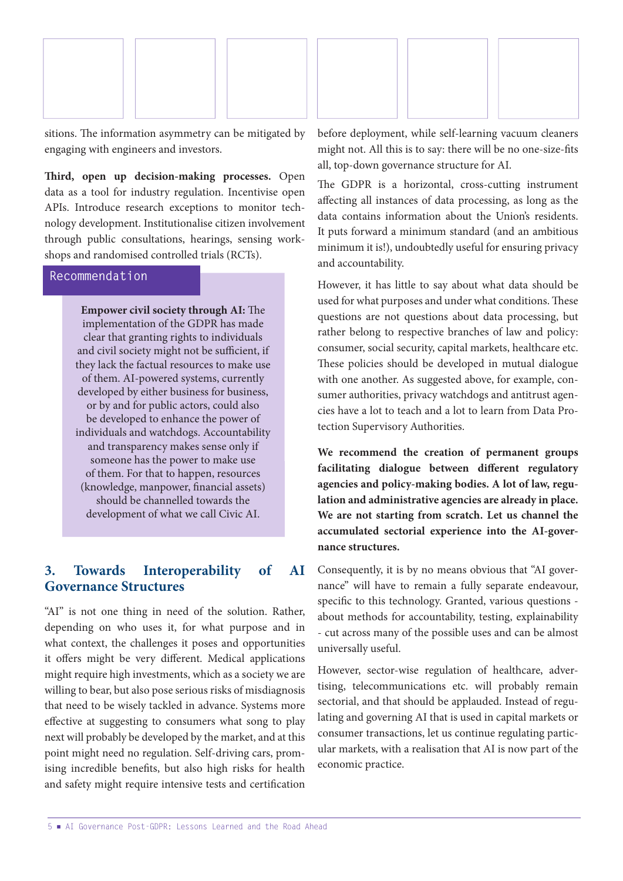

sitions. The information asymmetry can be mitigated by engaging with engineers and investors.

**Third, open up decision-making processes.** Open data as a tool for industry regulation. Incentivise open APIs. Introduce research exceptions to monitor technology development. Institutionalise citizen involvement through public consultations, hearings, sensing workshops and randomised controlled trials (RCTs).

#### **Recommendation**

**Empower civil society through AI:** The implementation of the GDPR has made clear that granting rights to individuals and civil society might not be sufficient, if they lack the factual resources to make use of them. AI-powered systems, currently developed by either business for business, or by and for public actors, could also be developed to enhance the power of individuals and watchdogs. Accountability and transparency makes sense only if someone has the power to make use of them. For that to happen, resources (knowledge, manpower, financial assets) should be channelled towards the development of what we call Civic AI.

## **3. Towards Interoperability of AI Governance Structures**

"AI" is not one thing in need of the solution. Rather, depending on who uses it, for what purpose and in what context, the challenges it poses and opportunities it offers might be very different. Medical applications might require high investments, which as a society we are willing to bear, but also pose serious risks of misdiagnosis that need to be wisely tackled in advance. Systems more effective at suggesting to consumers what song to play next will probably be developed by the market, and at this point might need no regulation. Self-driving cars, promising incredible benefits, but also high risks for health and safety might require intensive tests and certification before deployment, while self-learning vacuum cleaners might not. All this is to say: there will be no one-size-fits all, top-down governance structure for AI.

The GDPR is a horizontal, cross-cutting instrument affecting all instances of data processing, as long as the data contains information about the Union's residents. It puts forward a minimum standard (and an ambitious minimum it is!), undoubtedly useful for ensuring privacy and accountability.

However, it has little to say about what data should be used for what purposes and under what conditions. These questions are not questions about data processing, but rather belong to respective branches of law and policy: consumer, social security, capital markets, healthcare etc. These policies should be developed in mutual dialogue with one another. As suggested above, for example, consumer authorities, privacy watchdogs and antitrust agencies have a lot to teach and a lot to learn from Data Protection Supervisory Authorities.

**We recommend the creation of permanent groups facilitating dialogue between different regulatory agencies and policy-making bodies. A lot of law, regulation and administrative agencies are already in place. We are not starting from scratch. Let us channel the accumulated sectorial experience into the AI-governance structures.**

Consequently, it is by no means obvious that "AI governance" will have to remain a fully separate endeavour, specific to this technology. Granted, various questions about methods for accountability, testing, explainability - cut across many of the possible uses and can be almost universally useful.

However, sector-wise regulation of healthcare, advertising, telecommunications etc. will probably remain sectorial, and that should be applauded. Instead of regulating and governing AI that is used in capital markets or consumer transactions, let us continue regulating particular markets, with a realisation that AI is now part of the economic practice.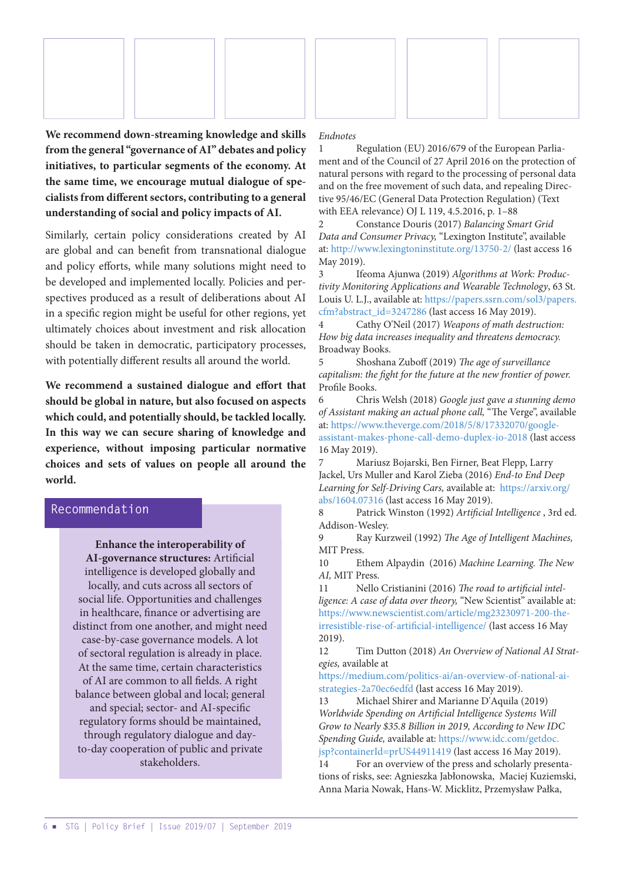<span id="page-5-0"></span>

**We recommend down-streaming knowledge and skills from the general "governance of AI" debates and policy initiatives, to particular segments of the economy. At the same time, we encourage mutual dialogue of specialists from different sectors, contributing to a general understanding of social and policy impacts of AI.**

Similarly, certain policy considerations created by AI are global and can benefit from transnational dialogue and policy efforts, while many solutions might need to be developed and implemented locally. Policies and perspectives produced as a result of deliberations about AI in a specific region might be useful for other regions, yet ultimately choices about investment and risk allocation should be taken in democratic, participatory processes, with potentially different results all around the world.

**We recommend a sustained dialogue and effort that should be global in nature, but also focused on aspects which could, and potentially should, be tackled locally. In this way we can secure sharing of knowledge and experience, without imposing particular normative choices and sets of values on people all around the world.**

#### **Recommendation**

**Enhance the interoperability of AI-governance structures:** Artificial intelligence is developed globally and locally, and cuts across all sectors of social life. Opportunities and challenges in healthcare, finance or advertising are distinct from one another, and might need case-by-case governance models. A lot of sectoral regulation is already in place. At the same time, certain characteristics of AI are common to all fields. A right balance between global and local; general and special; sector- and AI-specific regulatory forms should be maintained, through regulatory dialogue and dayto-day cooperation of public and private stakeholders.

#### *Endnotes*

[1](#page-0-0) Regulation (EU) 2016/679 of the European Parliament and of the Council of 27 April 2016 on the protection of natural persons with regard to the processing of personal data and on the free movement of such data, and repealing Directive 95/46/EC (General Data Protection Regulation) (Text with EEA relevance) OJ L 119, 4.5.2016, p. 1–88

[2](#page-1-0) Constance Douris (2017) *Balancing Smart Grid Data and Consumer Privacy,* "Lexington Institute", available at:<http://www.lexingtoninstitute.org/13750-2/>(last access 16 May 2019).

[3](#page-1-0) Ifeoma Ajunwa (2019) *Algorithms at Work: Productivity Monitoring Applications and Wearable Technology*, 63 St. Louis U. L.J., available at: [https://papers.ssrn.com/sol3/papers.](https://papers.ssrn.com/sol3/papers.cfm?abstract_id=3247286) [cfm?abstract\\_id=3247286](https://papers.ssrn.com/sol3/papers.cfm?abstract_id=3247286) (last access 16 May 2019).

[4](#page-1-0) Cathy O'Neil (2017) *Weapons of math destruction: How big data increases inequality and threatens democracy.*  Broadway Books.

[5](#page-1-0) Shoshana Zuboff (2019) *The age of surveillance capitalism: the fight for the future at the new frontier of power.* Profile Books.

[6](#page-1-0) Chris Welsh (2018) *Google just gave a stunning demo of Assistant making an actual phone call,* "The Verge", available at: [https://www.theverge.com/2018/5/8/17332070/google](https://www.theverge.com/2018/5/8/17332070/google-assistant-makes-phone-call-demo-duplex-io-2018)[assistant-makes-phone-call-demo-duplex-io-2018](https://www.theverge.com/2018/5/8/17332070/google-assistant-makes-phone-call-demo-duplex-io-2018) (last access 16 May 2019).

[7](#page-1-0) Mariusz Bojarski, Ben Firner, Beat Flepp, Larry Jackel, Urs Muller and Karol Zieba (2016) *End-to End Deep Learning for Self-Driving Cars,* available at: [https://arxiv.org/](https://arxiv.org/abs/1604.07316) [abs/1604.07316](https://arxiv.org/abs/1604.07316) (last access 16 May 2019).

[8](#page-1-0) Patrick Winston (1992) *Artificial Intelligence* , 3rd ed. Addison-Wesley.

[9](#page-1-0) Ray Kurzweil (1992) *The Age of Intelligent Machines,* MIT Press.

[10](#page-1-0) Ethem Alpaydin (2016) *Machine Learning. The New AI,* MIT Press.

[11](#page-1-0) Nello Cristianini (2016) *The road to artificial intelligence: A case of data over theory,* "New Scientist" available at: [https://www.newscientist.com/article/mg23230971-200-the](https://www.newscientist.com/article/mg23230971-200-the-irresistible-rise-of-artificial-intelligence/)[irresistible-rise-of-artificial-intelligence/](https://www.newscientist.com/article/mg23230971-200-the-irresistible-rise-of-artificial-intelligence/) (last access 16 May 2019).

[12](#page-1-0) Tim Dutton (2018) *An Overview of National AI Strategies,* available at

[https://medium.com/politics-ai/an-overview-of-national-ai](https://medium.com/politics-ai/an-overview-of-national-ai-strategies-2a70ec6edfd)[strategies-2a70ec6edfd](https://medium.com/politics-ai/an-overview-of-national-ai-strategies-2a70ec6edfd) (last access 16 May 2019).

[13](#page-1-0) Michael Shirer and Marianne D'Aquila (2019) *Worldwide Spending on Artificial Intelligence Systems Will Grow to Nearly \$35.8 Billion in 2019, According to New IDC Spending Guide,* available at: [https://www.idc.com/getdoc.](https://www.idc.com/getdoc.jsp?containerId=prUS44911419) [jsp?containerId=prUS44911419](https://www.idc.com/getdoc.jsp?containerId=prUS44911419) (last access 16 May 2019).

[14](#page-1-0) For an overview of the press and scholarly presentations of risks, see: Agnieszka Jabłonowska, Maciej Kuziemski, Anna Maria Nowak, Hans-W. Micklitz, Przemysław Pałka,